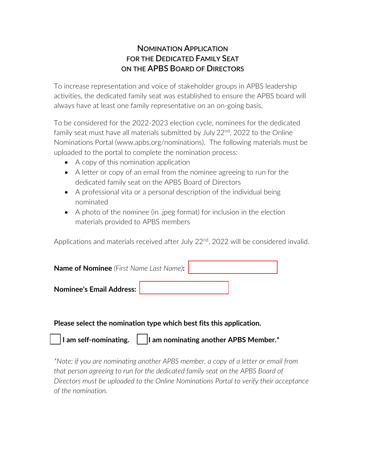## **NOMINATION APPLICATION FOR THE DEDICATED FAMILY SEAT ON THE APBS BOARD OF DIRECTORS**

To increase representation and voice of stakeholder groups in APBS leadership activities, the dedicated family seat was established to ensure the APBS board will always have at least one family representative on an on-going basis.

To be considered for the 2022-2023 election cycle, nominees for the dedicated family seat must have all materials submitted by July  $22^{nd}$ ,  $2022$  to the Online Nominations Portal (www.apbs.org/nominations). The following materials must be uploaded to the portal to complete the nomination process:

- A copy of this nomination application
- A letter or copy of an email from the nominee agreeing to run for the dedicated family seat on the APBS Board of Directors
- A professional vita or a personal description of the individual being nominated
- A photo of the nominee (in .jpeg format) for inclusion in the election materials provided to APBS members

Applications and materials received after July 22<sup>nd</sup>, 2022 will be considered invalid.

| <b>Name of Nominee</b> (First Name Last Name): |  |  |  |  |  |
|------------------------------------------------|--|--|--|--|--|
| <b>Nominee's Email Address:</b>                |  |  |  |  |  |

## **Please select the nomination type which best fits this application.**

| $\vert$ I am self-nominating. | I am nominating another APBS Member.* |
|-------------------------------|---------------------------------------|
|                               |                                       |

*\*Note: if you are nominating another APBS member, a copy of a letter or email from that person agreeing to run for the dedicated family seat on the APBS Board of Directors must be uploaded to the Online Nominations Portal to verify their acceptance of the nomination.*